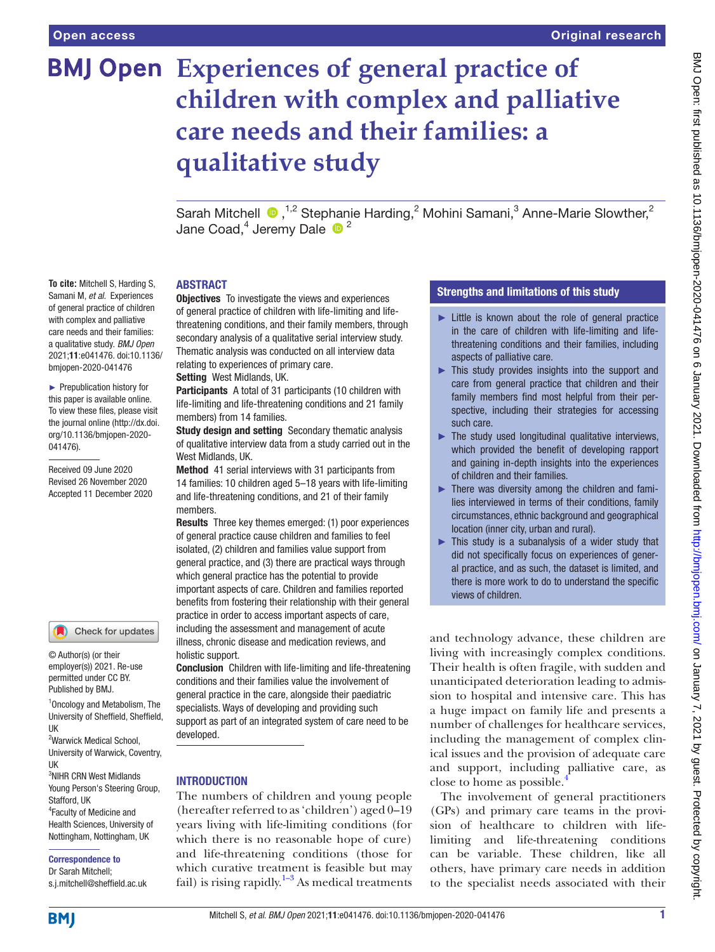**To cite:** Mitchell S, Harding S, Samani M, *et al*. Experiences of general practice of children with complex and palliative care needs and their families: a qualitative study. *BMJ Open* 2021;11:e041476. doi:10.1136/ bmjopen-2020-041476 ► Prepublication history for this paper is available online. To view these files, please visit the journal online (http://dx.doi. org/10.1136/bmjopen-2020-

041476).

Received 09 June 2020 Revised 26 November 2020 Accepted 11 December 2020

# **BMJ Open** Experiences of general practice of **children with complex and palliative care needs and their families: a qualitative study**

SarahMitchell  $\bigcirc$ , <sup>1,2</sup> Stephanie Harding, 2 Mohini Samani, 3 Anne-Marie Slowther, 2 Jane Coad,<sup>4</sup> Jeremy Dale  $\cdot$ <sup>2</sup>

### ABSTRACT

**Objectives** To investigate the views and experiences of general practice of children with life-limiting and lifethreatening conditions, and their family members, through secondary analysis of a qualitative serial interview study. Thematic analysis was conducted on all interview data relating to experiences of primary care. Setting West Midlands, UK.

Participants A total of 31 participants (10 children with life-limiting and life-threatening conditions and 21 family members) from 14 families.

Study design and setting Secondary thematic analysis of qualitative interview data from a study carried out in the West Midlands, UK.

Method 41 serial interviews with 31 participants from 14 families: 10 children aged 5–18 years with life-limiting and life-threatening conditions, and 21 of their family members.

Results Three key themes emerged: (1) poor experiences of general practice cause children and families to feel isolated, (2) children and families value support from general practice, and (3) there are practical ways through which general practice has the potential to provide important aspects of care. Children and families reported benefits from fostering their relationship with their general practice in order to access important aspects of care, including the assessment and management of acute illness, chronic disease and medication reviews, and holistic support.

Conclusion Children with life-limiting and life-threatening conditions and their families value the involvement of general practice in the care, alongside their paediatric specialists. Ways of developing and providing such support as part of an integrated system of care need to be developed.

### **INTRODUCTION**

The numbers of children and young people (hereafter referred to as 'children') aged 0–19 years living with life-limiting conditions (for which there is no reasonable hope of cure) and life-threatening conditions (those for which curative treatment is feasible but may fail) is rising rapidly.<sup>1-3</sup> As medical treatments

# Strengths and limitations of this study

- ► Little is known about the role of general practice in the care of children with life-limiting and lifethreatening conditions and their families, including aspects of palliative care.
- ► This study provides insights into the support and care from general practice that children and their family members find most helpful from their perspective, including their strategies for accessing such care.
- $\blacktriangleright$  The study used longitudinal qualitative interviews, which provided the benefit of developing rapport and gaining in-depth insights into the experiences of children and their families.
- $\blacktriangleright$  There was diversity among the children and families interviewed in terms of their conditions, family circumstances, ethnic background and geographical location (inner city, urban and rural).
- $\triangleright$  This study is a subanalysis of a wider study that did not specifically focus on experiences of general practice, and as such, the dataset is limited, and there is more work to do to understand the specific views of children.

and technology advance, these children are living with increasingly complex conditions. Their health is often fragile, with sudden and unanticipated deterioration leading to admission to hospital and intensive care. This has a huge impact on family life and presents a number of challenges for healthcare services, including the management of complex clinical issues and the provision of adequate care and support, including palliative care, as close to home as possible.[4](#page-6-1)

The involvement of general practitioners (GPs) and primary care teams in the provision of healthcare to children with lifelimiting and life-threatening conditions can be variable. These children, like all others, have primary care needs in addition to the specialist needs associated with their

#### Young Person's Steering Group, Stafford, IIK

UK

UK

4 Faculty of Medicine and Health Sciences, University of Nottingham, Nottingham, UK

1 Oncology and Metabolism, The University of Sheffield, Sheffield,

Check for updates

<sup>2</sup>Warwick Medical School, University of Warwick, Coventry,

© Author(s) (or their employer(s)) 2021. Re-use permitted under CC BY. Published by BMJ.

3 NIHR CRN West Midlands

# Correspondence to

Dr Sarah Mitchell; s.j.mitchell@sheffield.ac.uk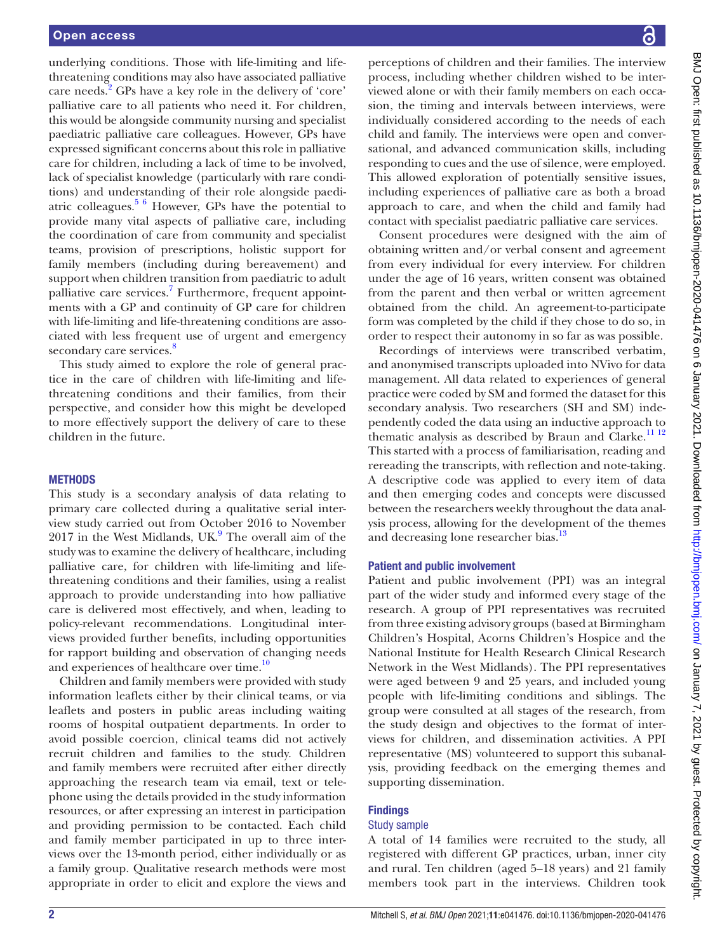underlying conditions. Those with life-limiting and lifethreatening conditions may also have associated palliative care needs.<sup>[2](#page-6-2)</sup> GPs have a key role in the delivery of 'core' palliative care to all patients who need it. For children, this would be alongside community nursing and specialist paediatric palliative care colleagues. However, GPs have expressed significant concerns about this role in palliative care for children, including a lack of time to be involved, lack of specialist knowledge (particularly with rare conditions) and understanding of their role alongside paediatric colleagues. $5\frac{6}{10}$  However, GPs have the potential to provide many vital aspects of palliative care, including the coordination of care from community and specialist teams, provision of prescriptions, holistic support for family members (including during bereavement) and support when children transition from paediatric to adult palliative care services.<sup>[7](#page-6-4)</sup> Furthermore, frequent appointments with a GP and continuity of GP care for children with life-limiting and life-threatening conditions are associated with less frequent use of urgent and emergency secondary care services.<sup>[8](#page-6-5)</sup>

This study aimed to explore the role of general practice in the care of children with life-limiting and lifethreatening conditions and their families, from their perspective, and consider how this might be developed to more effectively support the delivery of care to these children in the future.

### **METHODS**

This study is a secondary analysis of data relating to primary care collected during a qualitative serial interview study carried out from October 2016 to November  $2017$  in the West Midlands, UK. $9$  The overall aim of the study was to examine the delivery of healthcare, including palliative care, for children with life-limiting and lifethreatening conditions and their families, using a realist approach to provide understanding into how palliative care is delivered most effectively, and when, leading to policy-relevant recommendations. Longitudinal interviews provided further benefits, including opportunities for rapport building and observation of changing needs and experiences of healthcare over time.<sup>10</sup>

Children and family members were provided with study information leaflets either by their clinical teams, or via leaflets and posters in public areas including waiting rooms of hospital outpatient departments. In order to avoid possible coercion, clinical teams did not actively recruit children and families to the study. Children and family members were recruited after either directly approaching the research team via email, text or telephone using the details provided in the study information resources, or after expressing an interest in participation and providing permission to be contacted. Each child and family member participated in up to three interviews over the 13-month period, either individually or as a family group. Qualitative research methods were most appropriate in order to elicit and explore the views and

perceptions of children and their families. The interview process, including whether children wished to be interviewed alone or with their family members on each occasion, the timing and intervals between interviews, were individually considered according to the needs of each child and family. The interviews were open and conversational, and advanced communication skills, including responding to cues and the use of silence, were employed. This allowed exploration of potentially sensitive issues, including experiences of palliative care as both a broad approach to care, and when the child and family had contact with specialist paediatric palliative care services.

Consent procedures were designed with the aim of obtaining written and/or verbal consent and agreement from every individual for every interview. For children under the age of 16 years, written consent was obtained from the parent and then verbal or written agreement obtained from the child. An agreement-to-participate form was completed by the child if they chose to do so, in order to respect their autonomy in so far as was possible.

Recordings of interviews were transcribed verbatim, and anonymised transcripts uploaded into NVivo for data management. All data related to experiences of general practice were coded by SM and formed the dataset for this secondary analysis. Two researchers (SH and SM) independently coded the data using an inductive approach to thematic analysis as described by Braun and Clarke.<sup>[11 12](#page-6-8)</sup> This started with a process of familiarisation, reading and rereading the transcripts, with reflection and note-taking. A descriptive code was applied to every item of data and then emerging codes and concepts were discussed between the researchers weekly throughout the data analysis process, allowing for the development of the themes and decreasing lone researcher bias.<sup>13</sup>

#### Patient and public involvement

Patient and public involvement (PPI) was an integral part of the wider study and informed every stage of the research. A group of PPI representatives was recruited from three existing advisory groups (based at Birmingham Children's Hospital, Acorns Children's Hospice and the National Institute for Health Research Clinical Research Network in the West Midlands). The PPI representatives were aged between 9 and 25 years, and included young people with life-limiting conditions and siblings. The group were consulted at all stages of the research, from the study design and objectives to the format of interviews for children, and dissemination activities. A PPI representative (MS) volunteered to support this subanalysis, providing feedback on the emerging themes and supporting dissemination.

#### **Findings**

#### Study sample

A total of 14 families were recruited to the study, all registered with different GP practices, urban, inner city and rural. Ten children (aged 5–18 years) and 21 family members took part in the interviews. Children took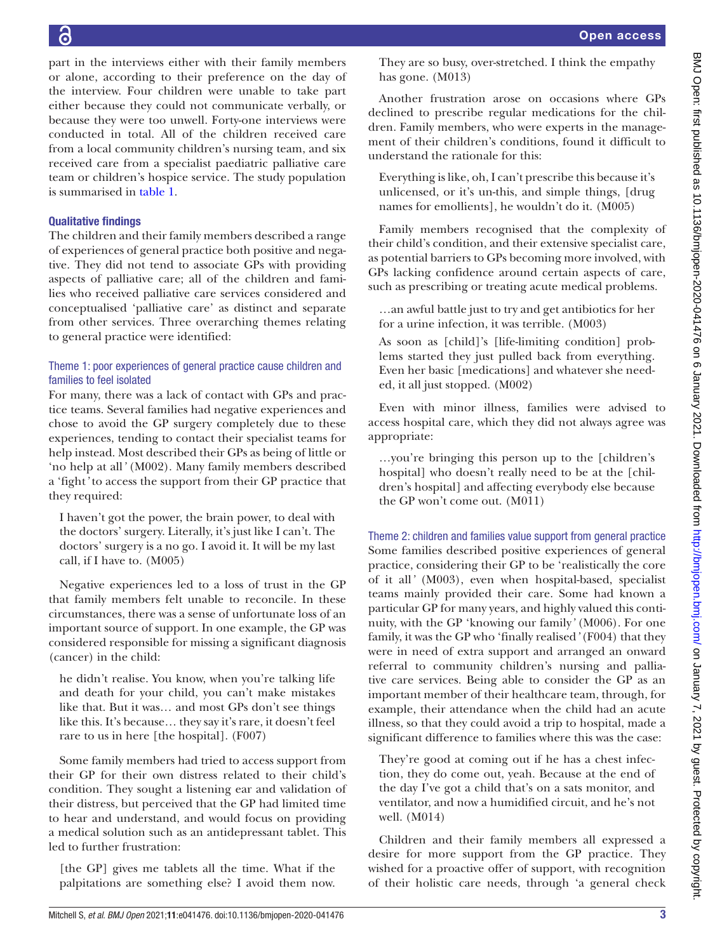part in the interviews either with their family members or alone, according to their preference on the day of the interview. Four children were unable to take part either because they could not communicate verbally, or because they were too unwell. Forty-one interviews were conducted in total. All of the children received care from a local community children's nursing team, and six received care from a specialist paediatric palliative care team or children's hospice service. The study population

# Qualitative findings

is summarised in [table](#page-3-0) 1.

The children and their family members described a range of experiences of general practice both positive and negative. They did not tend to associate GPs with providing aspects of palliative care; all of the children and families who received palliative care services considered and conceptualised 'palliative care' as distinct and separate from other services. Three overarching themes relating to general practice were identified:

# Theme 1: poor experiences of general practice cause children and families to feel isolated

For many, there was a lack of contact with GPs and practice teams. Several families had negative experiences and chose to avoid the GP surgery completely due to these experiences, tending to contact their specialist teams for help instead. Most described their GPs as being of little or 'no help at all*'* (M002). Many family members described a 'fight*'* to access the support from their GP practice that they required:

I haven't got the power, the brain power, to deal with the doctors' surgery. Literally, it's just like I can't. The doctors' surgery is a no go. I avoid it. It will be my last call, if I have to. (M005)

Negative experiences led to a loss of trust in the GP that family members felt unable to reconcile. In these circumstances, there was a sense of unfortunate loss of an important source of support. In one example, the GP was considered responsible for missing a significant diagnosis (cancer) in the child:

he didn't realise. You know, when you're talking life and death for your child, you can't make mistakes like that. But it was… and most GPs don't see things like this. It's because… they say it's rare, it doesn't feel rare to us in here [the hospital]. (F007)

Some family members had tried to access support from their GP for their own distress related to their child's condition. They sought a listening ear and validation of their distress, but perceived that the GP had limited time to hear and understand, and would focus on providing a medical solution such as an antidepressant tablet. This led to further frustration:

[the GP] gives me tablets all the time. What if the palpitations are something else? I avoid them now. They are so busy, over-stretched. I think the empathy has gone. (M013)

Another frustration arose on occasions where GPs declined to prescribe regular medications for the children. Family members, who were experts in the management of their children's conditions, found it difficult to understand the rationale for this:

Everything is like, oh, I can't prescribe this because it's unlicensed, or it's un-this, and simple things, [drug names for emollients], he wouldn't do it. (M005)

Family members recognised that the complexity of their child's condition, and their extensive specialist care, as potential barriers to GPs becoming more involved, with GPs lacking confidence around certain aspects of care, such as prescribing or treating acute medical problems.

…an awful battle just to try and get antibiotics for her for a urine infection, it was terrible. (M003)

As soon as [child]'s [life-limiting condition] problems started they just pulled back from everything. Even her basic [medications] and whatever she needed, it all just stopped. (M002)

Even with minor illness, families were advised to access hospital care, which they did not always agree was appropriate:

…you're bringing this person up to the [children's hospital] who doesn't really need to be at the [children's hospital] and affecting everybody else because the GP won't come out. (M011)

Theme 2: children and families value support from general practice Some families described positive experiences of general practice, considering their GP to be 'realistically the core of it all*'* (M003), even when hospital-based, specialist teams mainly provided their care. Some had known a particular GP for many years, and highly valued this continuity, with the GP 'knowing our family*'* (M006). For one family, it was the GP who 'finally realised*'* (F004) that they were in need of extra support and arranged an onward referral to community children's nursing and palliative care services. Being able to consider the GP as an important member of their healthcare team, through, for example, their attendance when the child had an acute illness, so that they could avoid a trip to hospital, made a significant difference to families where this was the case:

They're good at coming out if he has a chest infection, they do come out, yeah. Because at the end of the day I've got a child that's on a sats monitor, and ventilator, and now a humidified circuit, and he's not well. (M014)

Children and their family members all expressed a desire for more support from the GP practice. They wished for a proactive offer of support, with recognition of their holistic care needs, through 'a general check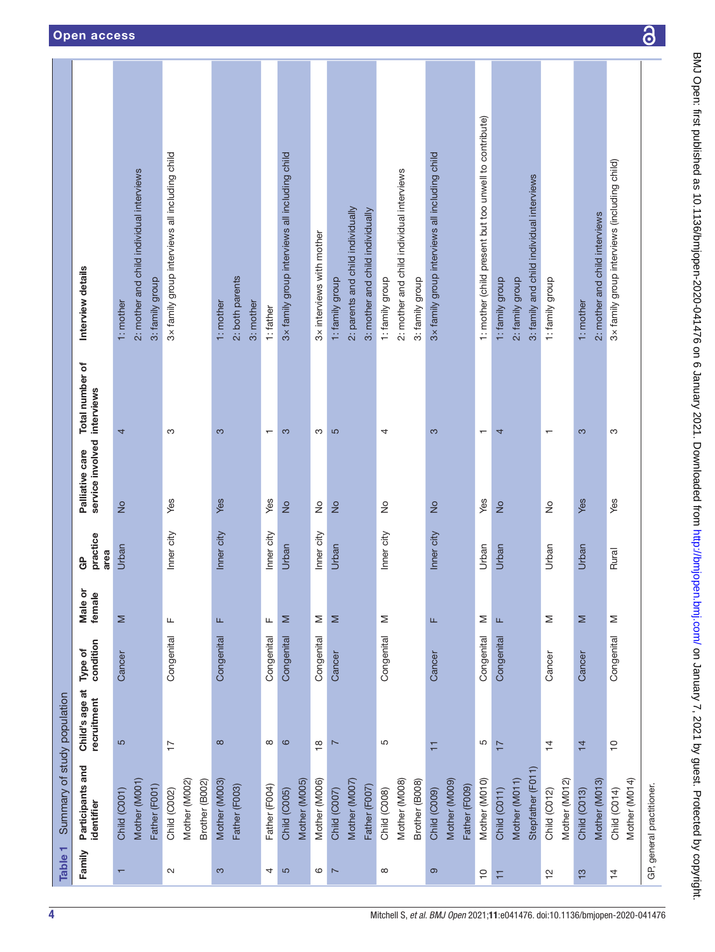<span id="page-3-0"></span>

| Table 1                  | Summary of study population                     |                               |                      |                   |                            |                                                |                          |                                                                           |
|--------------------------|-------------------------------------------------|-------------------------------|----------------------|-------------------|----------------------------|------------------------------------------------|--------------------------|---------------------------------------------------------------------------|
| Family                   | Participants and<br>identifier                  | Child's age at<br>recruitment | condition<br>Type of | Male or<br>female | practice<br>area<br>၉<br>၁ | service involved interviews<br>Palliative care | Total number of          | Interview details                                                         |
| $\overline{\phantom{0}}$ | Mother (M001)<br>Father (F001)<br>Child (C001)  | 5                             | Cancer               | Σ                 | Urban                      | $\frac{1}{2}$                                  | 4                        | 2: mother and child individual interviews<br>3: family group<br>1: mother |
| $\sim$                   | Mother (M002)<br>Brother (B002)<br>Child (C002) | $\overline{1}$                | Congenital           | Щ                 | Inner city                 | Yes                                            | က                        | 3x family group interviews all including child                            |
| S                        | Mother (M003)<br>Father (F003)                  | $\infty$                      | Congenital           | Щ                 | Inner city                 | Yes                                            | က                        | 2: both parents<br>1: mother<br>3: mother                                 |
| 4                        | Father (F004)                                   | $\infty$                      | Congenital           | щ                 | Inner city                 | Yes                                            | $\overline{\phantom{0}}$ | 1: father                                                                 |
| S                        | Mother (M005)<br>Child (C005)                   | $\circ$                       | Congenital           | Σ                 | Urban                      | $\frac{1}{2}$                                  | 3                        | 3x family group interviews all including child                            |
| 6                        | Mother (M006)                                   | $\overset{\circ}{=}$          | Congenital           | Σ                 | Inner city                 | $\stackrel{\circ}{\geq}$                       | S                        | 3x interviews with mother                                                 |
| $\overline{ }$           | Child (C007)                                    | $\overline{ }$                | Cancer               | Σ                 | Urban                      | $\frac{1}{2}$                                  | $\overline{5}$           | 1: family group                                                           |
|                          | Mother (M007)<br>Father (F007)                  |                               |                      |                   |                            |                                                |                          | 2: parents and child individually<br>3: mother and child individually     |
|                          |                                                 |                               |                      |                   |                            |                                                |                          |                                                                           |
| $\infty$                 | Mother (M008)<br>Child (C <sub>008)</sub>       | 5                             | Congenital           | Σ                 | Inner city                 | $\frac{1}{2}$                                  | 4                        | 2: mother and child individual interviews<br>1: family group              |
|                          | Brother (B008)                                  |                               |                      |                   |                            |                                                |                          | 3: family group                                                           |
| ၜ                        | Mother (M009)<br>Father (F009)<br>Child (C009)  | Η                             | Cancer               | Щ                 | Inner city                 | $\frac{1}{2}$                                  | က                        | 3x family group interviews all including child                            |
| $\tilde{c}$              | Mother (M010)                                   | 5                             | Congenital           | Σ                 | Urban                      | Yes                                            | $\overline{\phantom{0}}$ | 1: mother (child present but too unwell to contribute)                    |
| Ξ                        | Child (C011)                                    | $\overline{1}$                | Congenital           | Щ                 | Urban                      | $\frac{1}{2}$                                  | 4                        | 1: family group                                                           |
|                          | Stepfather (F011)<br>Mother (M011)              |                               |                      |                   |                            |                                                |                          | 3: family and child individual interviews<br>2: family group              |
| $\frac{1}{2}$            | Mother (M012)<br>Child (C012)                   | $\overline{4}$                | Cancer               | Σ                 | Urban                      | $\frac{1}{2}$                                  | $\mathbf{\tau}$          | 1: family group                                                           |
| $\frac{3}{2}$            | Mother (M013)<br>Child (C013)                   | $\overline{4}$                | Cancer               | Σ                 | Urban                      | Yes                                            | 3                        | 2: mother and child interviews<br>1: mother                               |
| $\overline{4}$           | Mother (M014)<br>Child (C014)                   | $\Rightarrow$                 | Congenital           | Σ                 | Rural                      | Yes                                            | S                        | 3x family group interviews (including child)                              |
|                          | GP, general practitioner.                       |                               |                      |                   |                            |                                                |                          |                                                                           |

 $\overline{\partial}$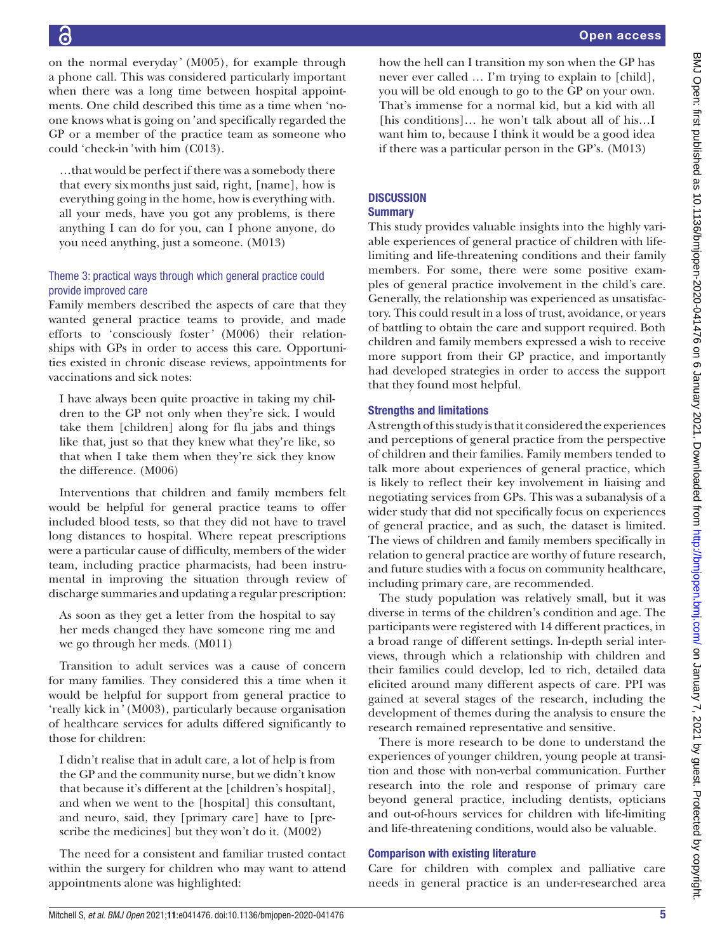on the normal everyday*'* (M005), for example through a phone call. This was considered particularly important when there was a long time between hospital appointments. One child described this time as a time when 'noone knows what is going on*'* and specifically regarded the GP or a member of the practice team as someone who could 'check-in*'* with him (C013).

…that would be perfect if there was a somebody there that every sixmonths just said, right, [name], how is everything going in the home, how is everything with. all your meds, have you got any problems, is there anything I can do for you, can I phone anyone, do you need anything, just a someone. (M013)

# Theme 3: practical ways through which general practice could provide improved care

Family members described the aspects of care that they wanted general practice teams to provide, and made efforts to 'consciously foster*'* (M006) their relationships with GPs in order to access this care. Opportunities existed in chronic disease reviews, appointments for vaccinations and sick notes:

I have always been quite proactive in taking my children to the GP not only when they're sick. I would take them [children] along for flu jabs and things like that, just so that they knew what they're like, so that when I take them when they're sick they know the difference. (M006)

Interventions that children and family members felt would be helpful for general practice teams to offer included blood tests, so that they did not have to travel long distances to hospital. Where repeat prescriptions were a particular cause of difficulty, members of the wider team, including practice pharmacists, had been instrumental in improving the situation through review of discharge summaries and updating a regular prescription:

As soon as they get a letter from the hospital to say her meds changed they have someone ring me and we go through her meds. (M011)

Transition to adult services was a cause of concern for many families. They considered this a time when it would be helpful for support from general practice to 'really kick in*'* (M003), particularly because organisation of healthcare services for adults differed significantly to those for children:

I didn't realise that in adult care, a lot of help is from the GP and the community nurse, but we didn't know that because it's different at the [children's hospital], and when we went to the [hospital] this consultant, and neuro, said, they [primary care] have to [prescribe the medicines] but they won't do it. (M002)

The need for a consistent and familiar trusted contact within the surgery for children who may want to attend appointments alone was highlighted:

how the hell can I transition my son when the GP has never ever called … I'm trying to explain to [child], you will be old enough to go to the GP on your own. That's immense for a normal kid, but a kid with all [his conditions]... he won't talk about all of his...I want him to, because I think it would be a good idea if there was a particular person in the GP's. (M013)

# **DISCUSSION**

# **Summary**

This study provides valuable insights into the highly variable experiences of general practice of children with lifelimiting and life-threatening conditions and their family members. For some, there were some positive examples of general practice involvement in the child's care. Generally, the relationship was experienced as unsatisfactory. This could result in a loss of trust, avoidance, or years of battling to obtain the care and support required. Both children and family members expressed a wish to receive more support from their GP practice, and importantly had developed strategies in order to access the support that they found most helpful.

# Strengths and limitations

A strength of this study is that it considered the experiences and perceptions of general practice from the perspective of children and their families. Family members tended to talk more about experiences of general practice, which is likely to reflect their key involvement in liaising and negotiating services from GPs. This was a subanalysis of a wider study that did not specifically focus on experiences of general practice, and as such, the dataset is limited. The views of children and family members specifically in relation to general practice are worthy of future research, and future studies with a focus on community healthcare, including primary care, are recommended.

The study population was relatively small, but it was diverse in terms of the children's condition and age. The participants were registered with 14 different practices, in a broad range of different settings. In-depth serial interviews, through which a relationship with children and their families could develop, led to rich, detailed data elicited around many different aspects of care. PPI was gained at several stages of the research, including the development of themes during the analysis to ensure the research remained representative and sensitive.

There is more research to be done to understand the experiences of younger children, young people at transition and those with non-verbal communication. Further research into the role and response of primary care beyond general practice, including dentists, opticians and out-of-hours services for children with life-limiting and life-threatening conditions, would also be valuable.

# Comparison with existing literature

Care for children with complex and palliative care needs in general practice is an under-researched area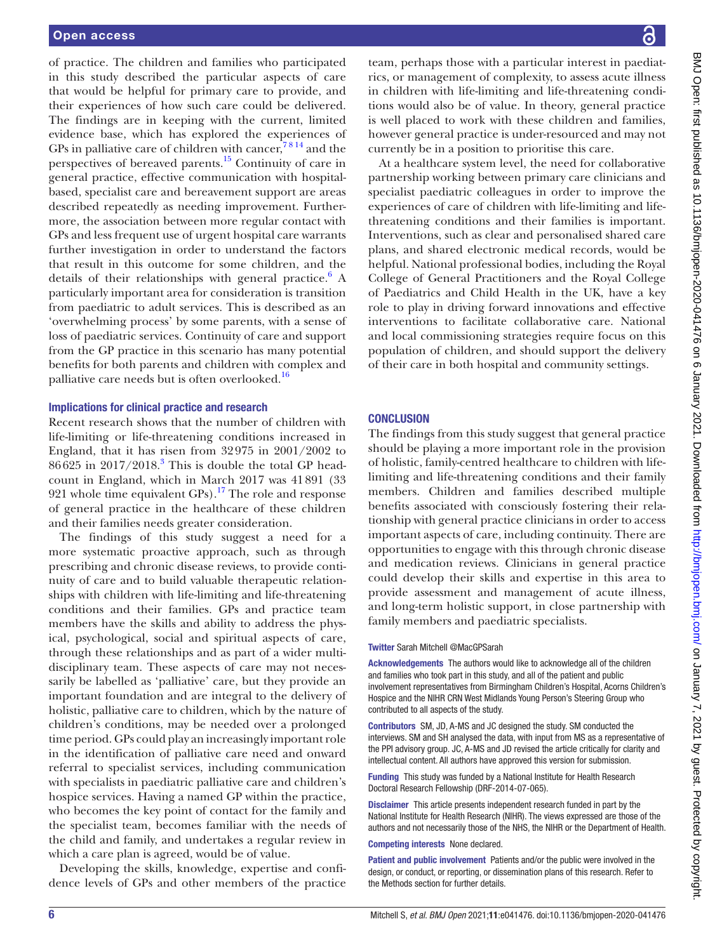of practice. The children and families who participated in this study described the particular aspects of care that would be helpful for primary care to provide, and their experiences of how such care could be delivered. The findings are in keeping with the current, limited evidence base, which has explored the experiences of GPs in palliative care of children with cancer,  $7^{8}$  14 and the perspectives of bereaved parents[.15](#page-6-10) Continuity of care in general practice, effective communication with hospitalbased, specialist care and bereavement support are areas described repeatedly as needing improvement. Furthermore, the association between more regular contact with GPs and less frequent use of urgent hospital care warrants further investigation in order to understand the factors that result in this outcome for some children, and the details of their relationships with general practice. $6$  A particularly important area for consideration is transition from paediatric to adult services. This is described as an 'overwhelming process' by some parents, with a sense of loss of paediatric services. Continuity of care and support from the GP practice in this scenario has many potential benefits for both parents and children with complex and palliative care needs but is often overlooked.<sup>16</sup>

#### Implications for clinical practice and research

Recent research shows that the number of children with life-limiting or life-threatening conditions increased in England, that it has risen from 32975 in 2001/2002 to 86625 in 2017/2018.<sup>[3](#page-6-13)</sup> This is double the total GP headcount in England, which in March 2017 was 41891 (33 921 whole time equivalent  $GPs$ ).<sup>17</sup> The role and response of general practice in the healthcare of these children and their families needs greater consideration.

The findings of this study suggest a need for a more systematic proactive approach, such as through prescribing and chronic disease reviews, to provide continuity of care and to build valuable therapeutic relationships with children with life-limiting and life-threatening conditions and their families. GPs and practice team members have the skills and ability to address the physical, psychological, social and spiritual aspects of care, through these relationships and as part of a wider multidisciplinary team. These aspects of care may not necessarily be labelled as 'palliative' care, but they provide an important foundation and are integral to the delivery of holistic, palliative care to children, which by the nature of children's conditions, may be needed over a prolonged time period. GPs could play an increasingly important role in the identification of palliative care need and onward referral to specialist services, including communication with specialists in paediatric palliative care and children's hospice services. Having a named GP within the practice, who becomes the key point of contact for the family and the specialist team, becomes familiar with the needs of the child and family, and undertakes a regular review in which a care plan is agreed, would be of value.

Developing the skills, knowledge, expertise and confidence levels of GPs and other members of the practice

team, perhaps those with a particular interest in paediatrics, or management of complexity, to assess acute illness in children with life-limiting and life-threatening conditions would also be of value. In theory, general practice is well placed to work with these children and families, however general practice is under-resourced and may not currently be in a position to prioritise this care.

At a healthcare system level, the need for collaborative partnership working between primary care clinicians and specialist paediatric colleagues in order to improve the experiences of care of children with life-limiting and lifethreatening conditions and their families is important. Interventions, such as clear and personalised shared care plans, and shared electronic medical records, would be helpful. National professional bodies, including the Royal College of General Practitioners and the Royal College of Paediatrics and Child Health in the UK, have a key role to play in driving forward innovations and effective interventions to facilitate collaborative care. National and local commissioning strategies require focus on this population of children, and should support the delivery of their care in both hospital and community settings.

### **CONCLUSION**

The findings from this study suggest that general practice should be playing a more important role in the provision of holistic, family-centred healthcare to children with lifelimiting and life-threatening conditions and their family members. Children and families described multiple benefits associated with consciously fostering their relationship with general practice clinicians in order to access important aspects of care, including continuity. There are opportunities to engage with this through chronic disease and medication reviews. Clinicians in general practice could develop their skills and expertise in this area to provide assessment and management of acute illness, and long-term holistic support, in close partnership with family members and paediatric specialists.

#### Twitter Sarah Mitchell [@MacGPSarah](https://twitter.com/MacGPSarah)

Acknowledgements The authors would like to acknowledge all of the children and families who took part in this study, and all of the patient and public involvement representatives from Birmingham Children's Hospital, Acorns Children's Hospice and the NIHR CRN West Midlands Young Person's Steering Group who contributed to all aspects of the study.

Contributors SM, JD, A-MS and JC designed the study. SM conducted the interviews. SM and SH analysed the data, with input from MS as a representative of the PPI advisory group. JC, A-MS and JD revised the article critically for clarity and intellectual content. All authors have approved this version for submission.

Funding This study was funded by a National Institute for Health Research Doctoral Research Fellowship (DRF-2014-07-065).

Disclaimer This article presents independent research funded in part by the National Institute for Health Research (NIHR). The views expressed are those of the authors and not necessarily those of the NHS, the NIHR or the Department of Health.

### Competing interests None declared.

Patient and public involvement Patients and/or the public were involved in the design, or conduct, or reporting, or dissemination plans of this research. Refer to the Methods section for further details.